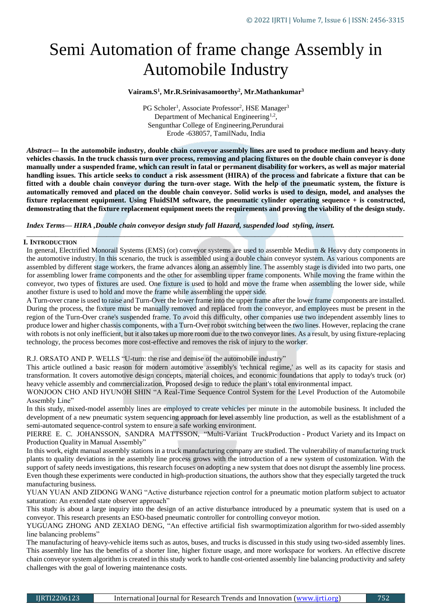# Semi Automation of frame change Assembly in Automobile Industry

## **Vairam.S<sup>1</sup> , Mr.R.Srinivasamoorthy<sup>2</sup> , Mr.Mathankumar<sup>3</sup>**

PG Scholer<sup>1</sup>, Associate Professor<sup>2</sup>, HSE Manager<sup>3</sup> Department of Mechanical Engineering<sup>1,2</sup>, Sengunthar College of Engineering,Perundurai Erode -638057, TamilNadu, India

*Abstract***— In the automobile industry, double chain conveyor assembly lines are used to produce medium and heavy-duty vehicles chassis. In the truck chassis turn over process, removing and placing fixtures on the double chain conveyor is done manually under a suspended frame, which can result in fatal or permanent disability for workers, as well as major material handling issues. This article seeks to conduct a risk assessment (HIRA) of the process and fabricate a fixture that can be fitted with a double chain conveyor during the turn-over stage. With the help of the pneumatic system, the fixture is automatically removed and placed on the double chain conveyor. Solid works is used to design, model, and analyses the fixture replacement equipment. Using FluidSIM software, the pneumatic cylinder operating sequence + is constructed, demonstrating that the fixture replacement equipment meets the requirements and proving the viability of the design study.**

*Index Terms— HIRA ,Double chain conveyor design study fall Hazard, suspended load styling, insert.*

#### **I. INTRODUCTION**

In general, Electrified Monorail Systems (EMS) (or) conveyor systems are used to assemble Medium & Heavy duty components in the automotive industry. In this scenario, the truck is assembled using a double chain conveyor system. As various components are assembled by different stage workers, the frame advances along an assembly line. The assembly stage is divided into two parts, one for assembling lower frame components and the other for assembling upper frame components. While moving the frame within the conveyor, two types of fixtures are used. One fixture is used to hold and move the frame when assembling the lower side, while another fixture is used to hold and move the frame while assembling the upper side.

*\_\_\_\_\_\_\_\_\_\_\_\_\_\_\_\_\_\_\_\_\_\_\_\_\_\_\_\_\_\_\_\_\_\_\_\_\_\_\_\_\_\_\_\_\_\_\_\_\_\_\_\_\_\_\_\_\_\_\_\_\_\_\_\_\_\_\_\_\_\_\_\_\_\_\_\_\_\_\_\_\_\_\_\_\_\_\_\_\_\_\_\_\_\_\_\_\_\_\_\_\_\_\_\_*

A Turn-over crane is used to raise and Turn-Over the lower frame into the upper frame after the lower frame components are installed. During the process, the fixture must be manually removed and replaced from the conveyor, and employees must be present in the region of the Turn-Over crane's suspended frame. To avoid this difficulty, other companies use two independent assembly lines to produce lower and higher chassis components, with a Turn-Over robot switching between the two lines. However, replacing the crane with robots is not only inefficient, but it also takes up more room due to the two conveyor lines. As a result, by using fixture-replacing technology, the process becomes more cost-effective and removes the risk of injury to the worker.

R.J. ORSATO AND P. WELLS "U-turn: the rise and demise of the automobile industry"

This article outlined a basic reason for modern automotive assembly's 'technical regime,' as well as its capacity for stasis and transformation. It covers automotive design concepts, material choices, and economic foundations that apply to today's truck (or) heavy vehicle assembly and commercialization. Proposed design to reduce the plant's total environmental impact.

WONJOON CHO AND HYUNOH SHIN "A Real-Time Sequence Control System for the Level Production of the Automobile Assembly Line"

In this study, mixed-model assembly lines are employed to create vehicles per minute in the automobile business. It included the development of a new pneumatic system sequencing approach for level assembly line production, as well as the establishment of a semi-automated sequence-control system to ensure a safe working environment.

PIERRE E. C. JOHANSSON, SANDRA MATTSSON, "Multi-Variant TruckProduction - Product Variety and its Impact on Production Quality in Manual Assembly"

In this work, eight manual assembly stations in a truck manufacturing company are studied. The vulnerability of manufacturing truck plants to quality deviations in the assembly line process grows with the introduction of a new system of customization. With the support of safety needs investigations, this research focuses on adopting a new system that does not disrupt the assembly line process. Even though these experiments were conducted in high-production situations, the authors show that they especially targeted the truck manufacturing business.

YUAN YUAN AND ZIDONG WANG "Active disturbance rejection control for a pneumatic motion platform subject to actuator saturation: An extended state observer approach"

This study is about a large inquiry into the design of an active disturbance introduced by a pneumatic system that is used on a conveyor. This research presents an ESO-based pneumatic controller for controlling conveyor motion.

YUGUANG ZHONG AND ZEXIAO DENG, "An effective artificial fish swarmoptimization algorithm for two-sided assembly line balancing problems"

The manufacturing of heavy-vehicle items such as autos, buses, and trucks is discussed in this study using two-sided assembly lines. This assembly line has the benefits of a shorter line, higher fixture usage, and more workspace for workers. An effective discrete chain conveyor system algorithm is created in this study work to handle cost-oriented assembly line balancing productivity and safety challenges with the goal of lowering maintenance costs.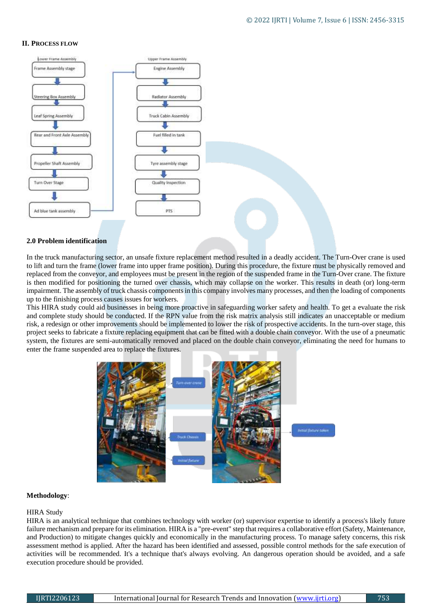#### **II. PROCESS FLOW**



#### **2.0 Problem identification**

In the truck manufacturing sector, an unsafe fixture replacement method resulted in a deadly accident. The Turn-Over crane is used to lift and turn the frame (lower frame into upper frame position). During this procedure, the fixture must be physically removed and replaced from the conveyor, and employees must be present in the region of the suspended frame in the Turn-Over crane. The fixture is then modified for positioning the turned over chassis, which may collapse on the worker. This results in death (or) long-term impairment. The assembly of truck chassis components in this company involves many processes, and then the loading of components up to the finishing process causes issues for workers.

This HIRA study could aid businesses in being more proactive in safeguarding worker safety and health. To get a evaluate the risk and complete study should be conducted. If the RPN value from the risk matrix analysis still indicates an unacceptable or medium risk, a redesign or other improvements should be implemented to lower the risk of prospective accidents. In the turn-over stage, this project seeks to fabricate a fixture replacing equipment that can be fitted with a double chain conveyor. With the use of a pneumatic system, the fixtures are semi-automatically removed and placed on the double chain conveyor, eliminating the need for humans to enter the frame suspended area to replace the fixtures.



#### **Methodology**:

#### HIRA Study

HIRA is an analytical technique that combines technology with worker (or) supervisor expertise to identify a process's likely future failure mechanism and prepare for its elimination. HIRA is a "pre-event" step that requires a collaborative effort (Safety, Maintenance, and Production) to mitigate changes quickly and economically in the manufacturing process. To manage safety concerns, this risk assessment method is applied. After the hazard has been identified and assessed, possible control methods for the safe execution of activities will be recommended. It's a technique that's always evolving. An dangerous operation should be avoided, and a safe execution procedure should be provided.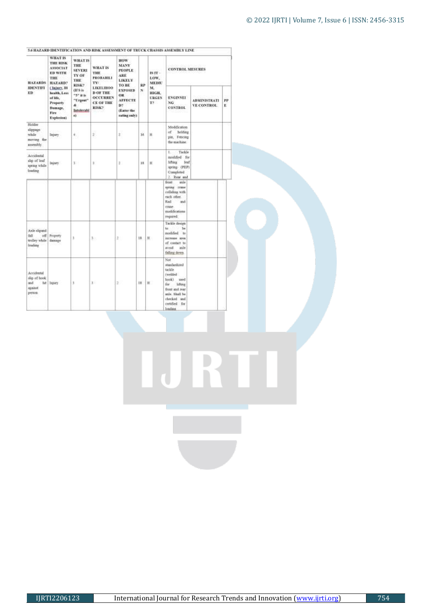| <b>HAZARDS</b>                                                | <b>WHAT IS</b><br>THE RISK<br><b>ASSOCIAT</b><br><b>ED WITH</b><br>THE<br>HAZARD?           | <b>WHAT IS</b><br>THE<br><b>SEVERE</b><br>TY OF<br>THE<br>RISK?    | <b>WHAT IS</b><br>THE<br><b>FROBABILI</b><br>TY:                                             | <b>HOW</b><br><b>MANY</b><br><b>FEOPLE</b><br>ARE:<br><b>LIKELY</b><br>TO BE | ŔР | $18$ FF -<br>LOW.<br>MKDIL | <b>CONTROL MESURES</b>                                                                                                                                     |                                   |         |  |
|---------------------------------------------------------------|---------------------------------------------------------------------------------------------|--------------------------------------------------------------------|----------------------------------------------------------------------------------------------|------------------------------------------------------------------------------|----|----------------------------|------------------------------------------------------------------------------------------------------------------------------------------------------------|-----------------------------------|---------|--|
| <b>IDENTIFI</b><br>ED)                                        | Chiner, III<br>health, Loss<br>of life.<br><b>Property</b><br>Damage.<br>Fire<br>Explosion) | df s is<br>$-5$ if it<br>"Urgest"<br>á.<br>Intolerabl<br>$\bullet$ | <b>LIKELIHOO</b><br><b>DOF THE</b><br><b>OCCURREN</b><br>CE OF THE<br>RISK?<br><b>Rangel</b> | <b>EXPOSED</b><br>OR<br><b>AFFECTE</b><br>D?<br>(Enter the<br>rating only)   | N  | M.<br>HIGH.<br>URGEN<br>T2 | <b>ENGINNEL</b><br>NG<br>CONTROL                                                                                                                           | <b>ADMINISTRATI</b><br>VE CONTROL | PP<br>E |  |
| Holder<br>stippings<br>while<br>moving the<br>assembly.       | <b>Injury</b>                                                                               | 4.                                                                 | Ŧ,                                                                                           | $\pm$                                                                        | 16 | n                          | Moddication.<br>of holding<br>pin, Feneng<br>the machine.                                                                                                  |                                   |         |  |
| Accidental<br>algi of leaf<br>spring while<br>loading         | hijsry.                                                                                     | 311                                                                | x                                                                                            | ă.                                                                           | 38 | 1ť                         | Tackle<br>t.<br>modified for<br><b>Infine</b><br><b>Jeaf</b><br>spring (PEP)<br>Completed<br>2. Row and                                                    |                                   |         |  |
|                                                               |                                                                                             |                                                                    |                                                                                              |                                                                              |    |                            | side<br>frost.<br>igning crane<br>colliding with<br>each other.<br>Rad<br>and<br>cripe<br>notifications<br>required.                                       |                                   |         |  |
| Axle shpinit<br>$f_2f_1$<br>uff.<br>trolley while<br>Instine  | Froperty<br>damage                                                                          | ł                                                                  | 3.                                                                                           | ž.                                                                           | 18 | Ħ                          | Tackle design<br>to:<br>be<br>modified to<br>increase area<br>of contact to<br>avoid.<br>aste<br>falling down                                              |                                   |         |  |
| Accidental<br>ilip of hook<br>no.f<br><b>NEEDS</b><br>person. | tat Insury                                                                                  | Ŧ                                                                  | ā.                                                                                           | ÷.                                                                           | 18 | Ħ                          | Not<br>tentimient<br>taskle<br>(welded)<br>hosk)<br>used<br>lifting<br>for.<br>front and rear<br>axle. Shall be<br>checked and<br>certified for<br>loading |                                   |         |  |

**56 HAZARD IDENTIFICATION AND RISK ASSESSMENT OF TRUCK CHASSIS ASSEMBLY LINE**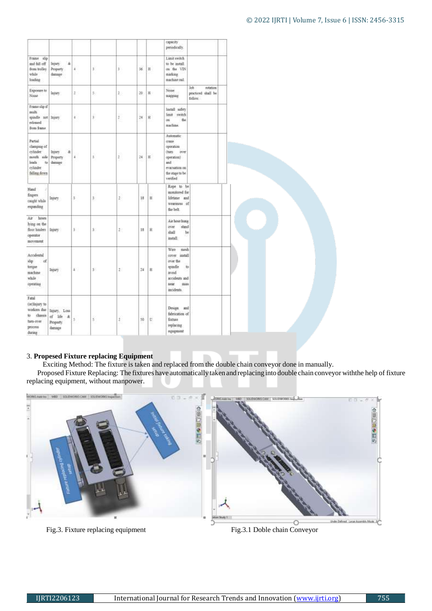|                                                                                                |                                                 |                      |    |                      |    |    | сараслу<br>periodically.                                                                                              |                                                  |
|------------------------------------------------------------------------------------------------|-------------------------------------------------|----------------------|----|----------------------|----|----|-----------------------------------------------------------------------------------------------------------------------|--------------------------------------------------|
| France slip<br>and fall off<br>from tralley<br>utile<br>tonding                                | ä<br>Injury<br>Property<br>damage               | 4                    | s  | 3                    | 36 | Ħ  | Limit switch<br>to be install.<br>on the VIN<br>marking<br>machine rad.                                               |                                                  |
| Exposure to<br>Nome                                                                            | Injury.                                         | $2^+$                | 5: | 2.                   | 20 | H. | Noise.<br>supping                                                                                                     | Job<br>rotation<br>practiced shall be<br>follow. |
| Franculo if<br>milt<br>spindle not lapary<br>Isuzulut<br>from frame                            |                                                 | $\pmb{\varepsilon}$  | Ŧ  | t                    | 24 | Ħ  | Install safety<br>time<br>weitch.<br>cn.<br>the<br>michine.                                                           |                                                  |
| Partial<br>clamping of<br>cylinder<br>trouth sale.<br>leads<br>to:<br>cylinder<br>falling down | æ<br><b>Injury</b><br>Property<br>damage        | $\ddot{4}$           | š. | ž                    | 24 | Ħ  | Automatic<br>craze<br>operation<br>(turn<br>over<br>operation)<br>and<br>evacuation on<br>the stage to be<br>verified |                                                  |
| Hand<br>fingers<br>caught while<br>expanding                                                   | Insury                                          | \$                   | 3  | $\mathfrak{D}$       | 18 | 目  | Rope to be<br>monitored for<br>lifetime and<br>weariness of<br>the belt.                                              |                                                  |
| hoses<br>Är<br>hing on the<br>floor hinders<br>operator<br>movement                            | Injary                                          | \$                   | 3. | $10 - 10$            | 18 | Η  | Air hose hung<br>over<br>stand<br>shall<br>bs<br>install.                                                             |                                                  |
| Accidental<br>shp.<br>of.<br>torgise<br>nachine<br>while<br>operating                          | Injury                                          | $\ddot{\phantom{a}}$ | š. | 'n.                  | 24 | B  | Wire<br>mesh<br>cover install<br>over the<br>spisdle.<br>avoid.<br>accidents and<br>sear<br>ttias<br>incidents.       | to                                               |
| Fatal<br>(or)Insury to<br>workers due<br>to chassis<br>turn-over<br>process<br>during.         | Injury, Loss<br>of life &<br>Property<br>damage | š                    | ¥  | $\frac{1}{\epsilon}$ | 30 | U  | Design and<br>fabrication of<br>fixture<br>терівсти:<br>squpment                                                      |                                                  |

# 3. **Propesed Fixture replacing Equipment**

Exciting Method: The fixture is taken and replaced from the double chain conveyor done in manually.

 Proposed Fixture Replacing: The fixtures have automatically taken and replacing into double chain conveyor withthe help of fixture replacing equipment, without manpower.



Fig.3. Fixture replacing equipment Fig.3.1 Doble chain Conveyor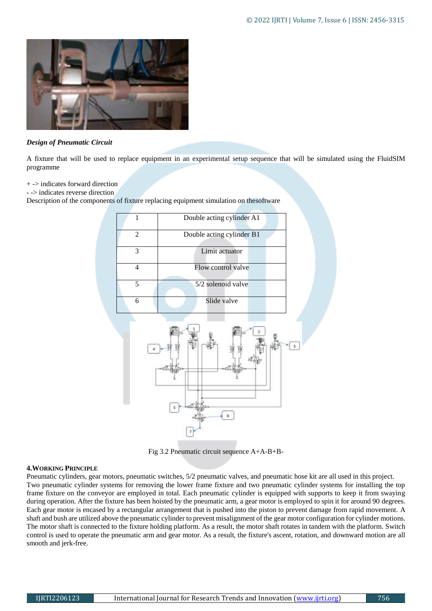

#### *Design of Pneumatic Circuit*

A fixture that will be used to replace equipment in an experimental setup sequence that will be simulated using the FluidSIM programme

+ -> indicates forward direction

- -> indicates reverse direction

Description of the components of fixture replacing equipment simulation on thesoftware



Fig 3.2 Pneumatic circuit sequence A+A-B+B-

#### **4.WORKING PRINCIPLE**

Pneumatic cylinders, gear motors, pneumatic switches, 5/2 pneumatic valves, and pneumatic hose kit are all used in this project. Two pneumatic cylinder systems for removing the lower frame fixture and two pneumatic cylinder systems for installing the top frame fixture on the conveyor are employed in total. Each pneumatic cylinder is equipped with supports to keep it from swaying during operation. After the fixture has been hoisted by the pneumatic arm, a gear motor is employed to spin it for around 90 degrees. Each gear motor is encased by a rectangular arrangement that is pushed into the piston to prevent damage from rapid movement. A shaft and bush are utilized above the pneumatic cylinder to prevent misalignment of the gear motor configuration for cylinder motions. The motor shaft is connected to the fixture holding platform. As a result, the motor shaft rotates in tandem with the platform. Switch control is used to operate the pneumatic arm and gear motor. As a result, the fixture's ascent, rotation, and downward motion are all smooth and jerk-free.